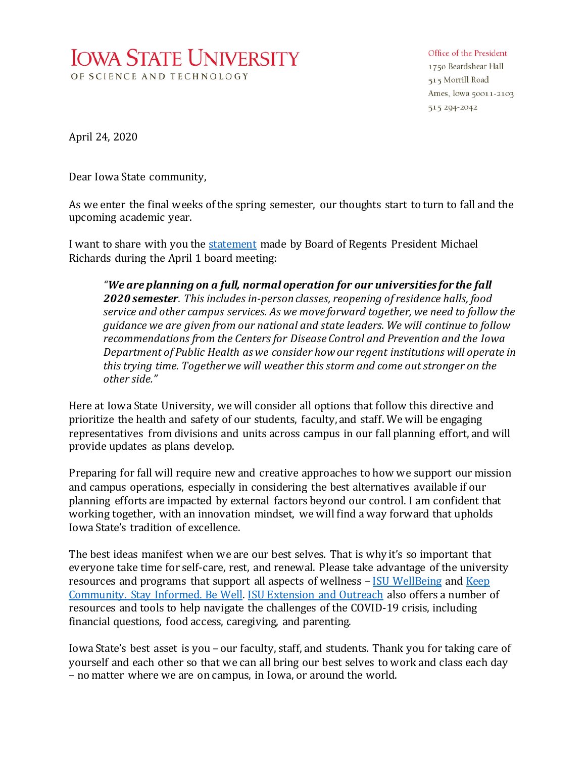## **IOWA STATE UNIVERSITY** OF SCIENCE AND TECHNOLOGY

## Office of the President

1750 Beardshear Hall 515 Morrill Road Ames, Iowa 50011-2103 515 294-2042

April 24, 2020

Dear Iowa State community,

As we enter the final weeks of the spring semester, our thoughts start to turn to fall and the upcoming academic year.

I want to share with you the [statement](https://www.youtube.com/watch?v=molHbDVJb1c&t=15246s) made by Board of Regents President Michael Richards during the April 1 board meeting:

*"We are planning on a full, normal operation for our universities for the fall 2020 semester. This includes in-person classes, reopening of residence halls, food service and other campus services. As we move forward together, we need to follow the guidance we are given from our national and state leaders. We will continue to follow recommendations from the Centers for Disease Control and Prevention and the Iowa Department of Public Health as we consider how our regent institutions will operate in this trying time. Together we will weather this storm and come out stronger on the other side."* 

Here at Iowa State University, we will consider all options that follow this directive and prioritize the health and safety of our students, faculty, and staff. We will be engaging representatives from divisions and units across campus in our fall planning effort, and will provide updates as plans develop.

Preparing for fall will require new and creative approaches to how we support our mission and campus operations, especially in considering the best alternatives available if our planning efforts are impacted by external factors beyond our control. I am confident that working together, with an innovation mindset, we will find a way forward that upholds Iowa State's tradition of excellence.

The best ideas manifest when we are our best selves. That is why it's so important that everyone take time for self-care, rest, and renewal. Please take advantage of the university resources and programs that support all aspects of wellness – [ISU WellBeing](https://www.wellbeing.iastate.edu/) and [Keep](https://www.studentwellness.iastate.edu/keep-community-stay-informed-be-well/)  [Community. Stay Informed. Be Well.](https://www.studentwellness.iastate.edu/keep-community-stay-informed-be-well/) [ISU Extension and Outreach](https://www.extension.iastate.edu/disasterrecovery/covid-19) also offers a number of resources and tools to help navigate the challenges of the COVID-19 crisis, including financial questions, food access, caregiving, and parenting.

Iowa State's best asset is you – our faculty, staff, and students. Thank you for taking care of yourself and each other so that we can all bring our best selves to work and class each day – no matter where we are on campus, in Iowa, or around the world.